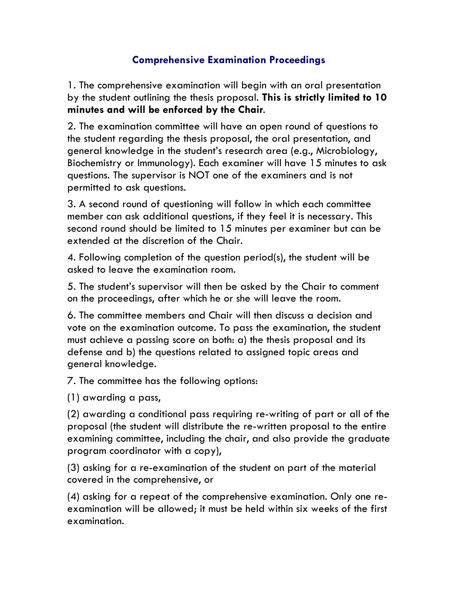## **Comprehensive Examination Proceedings**

1. The comprehensive examination will begin with an oral presentation by the student outlining the thesis proposal. **This is strictly limited to 10 minutes and will be enforced by the Chair**.

2. The examination committee will have an open round of questions to the student regarding the thesis proposal, the oral presentation, and general knowledge in the student's research area (e.g., Microbiology, Biochemistry or Immunology). Each examiner will have 15 minutes to ask questions. The supervisor is NOT one of the examiners and is not permitted to ask questions.

3. A second round of questioning will follow in which each committee member can ask additional questions, if they feel it is necessary. This second round should be limited to 15 minutes per examiner but can be extended at the discretion of the Chair.

4. Following completion of the question period(s), the student will be asked to leave the examination room.

5. The student's supervisor will then be asked by the Chair to comment on the proceedings, after which he or she will leave the room.

6. The committee members and Chair will then discuss a decision and vote on the examination outcome. To pass the examination, the student must achieve a passing score on both: a) the thesis proposal and its defense and b) the questions related to assigned topic areas and general knowledge.

7. The committee has the following options:

(1) awarding a pass,

(2) awarding a conditional pass requiring re-writing of part or all of the proposal (the student will distribute the re-written proposal to the entire examining committee, including the chair, and also provide the graduate program coordinator with a copy),

(3) asking for a re-examination of the student on part of the material covered in the comprehensive, or

(4) asking for a repeat of the comprehensive examination. Only one reexamination will be allowed; it must be held within six weeks of the first examination.